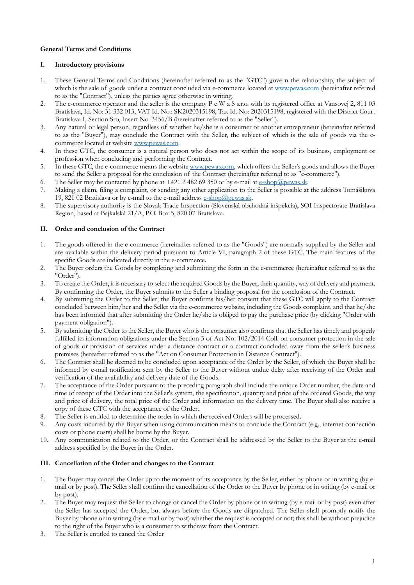## **General Terms and Conditions**

## **I. Introductory provisions**

- 1. These General Terms and Conditions (hereinafter referred to as the "GTC") govern the relationship, the subject of which is the sale of goods under a contract concluded via e-commerce located at www.pewas.com (hereinafter referred to as the "Contract"), unless the parties agree otherwise in writing.
- 2. The e-commerce operator and the seller is the company P e W a S s.r.o. with its registered office at Vansovej 2, 811 03 Bratislava, Id. No: 31 332 013, VAT Id. No.: SK2020315198, Tax Id. No: 2020315198, registered with the District Court Bratislava I, Section Sro, Insert No. 3456/B (hereinafter referred to as the "Seller").
- 3. Any natural or legal person, regardless of whether he/she is a consumer or another entrepreneur (hereinafter referred to as the "Buyer"), may conclude the Contract with the Seller, the subject of which is the sale of goods via the ecommerce located at website www.pewas.com.
- 4. In these GTC, the consumer is a natural person who does not act within the scope of its business, employment or profession when concluding and performing the Contract.
- 5. In these GTC, the e-commerce means the website www.pewas.com, which offers the Seller's goods and allows the Buyer to send the Seller a proposal for the conclusion of the Contract (hereinafter referred to as "e-commerce").
- 6. The Seller may be contacted by phone at  $+421$  2 482 69 350 or by e-mail at e-shop@pewas.sk.
- 7. Making a claim, filing a complaint, or sending any other application to the Seller is possible at the address Tomášikova 19, 821 02 Bratislava or by e-mail to the e-mail address e-shop@pewas.sk.
- 8. The supervisory authority is the Slovak Trade Inspection (Slovenská obchodná inšpekcia), SOI Inspectorate Bratislava Region, based at Bajkalská 21/A, P.O. Box 5, 820 07 Bratislava.

# **II. Order and conclusion of the Contract**

- 1. The goods offered in the e-commerce (hereinafter referred to as the "Goods") are normally supplied by the Seller and are available within the delivery period pursuant to Article VI, paragraph 2 of these GTC. The main features of the specific Goods are indicated directly in the e-commerce.
- 2. The Buyer orders the Goods by completing and submitting the form in the e-commerce (hereinafter referred to as the "Order").
- 3. To create the Order, it is necessary to select the required Goods by the Buyer, their quantity, way of delivery and payment. By confirming the Order, the Buyer submits to the Seller a binding proposal for the conclusion of the Contract.
- 4. By submitting the Order to the Seller, the Buyer confirms his/her consent that these GTC will apply to the Contract concluded between him/her and the Seller via the e-commerce website, including the Goods complaint, and that he/she has been informed that after submitting the Order he/she is obliged to pay the purchase price (by clicking "Order with payment obligation").
- 5. By submitting the Order to the Seller, the Buyer who is the consumer also confirms that the Seller has timely and properly fulfilled its information obligations under the Section 3 of Act No. 102/2014 Coll. on consumer protection in the sale of goods or provision of services under a distance contract or a contract concluded away from the seller's business premises (hereafter referred to as the "Act on Consumer Protection in Distance Contract").
- 6. The Contract shall be deemed to be concluded upon acceptance of the Order by the Seller, of which the Buyer shall be informed by e-mail notification sent by the Seller to the Buyer without undue delay after receiving of the Order and verification of the availability and delivery date of the Goods.
- 7. The acceptance of the Order pursuant to the preceding paragraph shall include the unique Order number, the date and time of receipt of the Order into the Seller's system, the specification, quantity and price of the ordered Goods, the way and price of delivery, the total price of the Order and information on the delivery time. The Buyer shall also receive a copy of these GTC with the acceptance of the Order.
- 8. The Seller is entitled to determine the order in which the received Orders will be processed.
- 9. Any costs incurred by the Buyer when using communication means to conclude the Contract (e.g., internet connection costs or phone costs) shall be borne by the Buyer.
- 10. Any communication related to the Order, or the Contract shall be addressed by the Seller to the Buyer at the e-mail address specified by the Buyer in the Order.

### **III. Cancellation of the Order and changes to the Contract**

- 1. The Buyer may cancel the Order up to the moment of its acceptance by the Seller, either by phone or in writing (by email or by post). The Seller shall confirm the cancellation of the Order to the Buyer by phone or in writing (by e-mail or by post).
- 2. The Buyer may request the Seller to change or cancel the Order by phone or in writing (by e-mail or by post) even after the Seller has accepted the Order, but always before the Goods are dispatched. The Seller shall promptly notify the Buyer by phone or in writing (by e-mail or by post) whether the request is accepted or not; this shall be without prejudice to the right of the Buyer who is a consumer to withdraw from the Contract.
- 3. The Seller is entitled to cancel the Order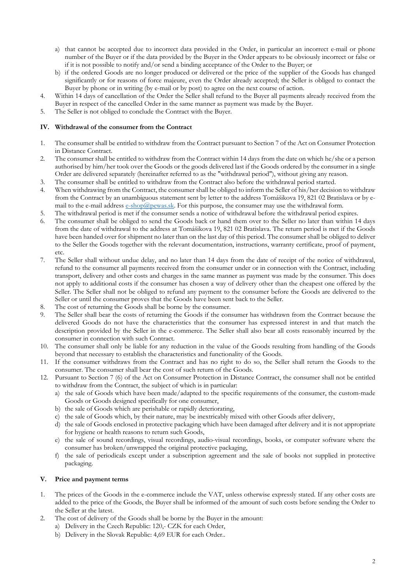- a) that cannot be accepted due to incorrect data provided in the Order, in particular an incorrect e-mail or phone number of the Buyer or if the data provided by the Buyer in the Order appears to be obviously incorrect or false or if it is not possible to notify and/or send a binding acceptance of the Order to the Buyer; or
- b) if the ordered Goods are no longer produced or delivered or the price of the supplier of the Goods has changed significantly or for reasons of force majeure, even the Order already accepted; the Seller is obliged to contact the Buyer by phone or in writing (by e-mail or by post) to agree on the next course of action.
- 4. Within 14 days of cancellation of the Order the Seller shall refund to the Buyer all payments already received from the Buyer in respect of the cancelled Order in the same manner as payment was made by the Buyer.
- 5. The Seller is not obliged to conclude the Contract with the Buyer.

### **IV. Withdrawal of the consumer from the Contract**

- 1. The consumer shall be entitled to withdraw from the Contract pursuant to Section 7 of the Act on Consumer Protection in Distance Contract.
- 2. The consumer shall be entitled to withdraw from the Contract within 14 days from the date on which he/she or a person authorised by him/her took over the Goods or the goods delivered last if the Goods ordered by the consumer in a single Order are delivered separately (hereinafter referred to as the "withdrawal period"), without giving any reason.
- 3. The consumer shall be entitled to withdraw from the Contract also before the withdrawal period started.
- 4. When withdrawing from the Contract, the consumer shall be obliged to inform the Seller of his/her decision to withdraw from the Contract by an unambiguous statement sent by letter to the address Tomášikova 19, 821 02 Bratislava or by email to the e-mail address e-shop@pewas.sk. For this purpose, the consumer may use the withdrawal form.
- 5. The withdrawal period is met if the consumer sends a notice of withdrawal before the withdrawal period expires.
- 6. The consumer shall be obliged to send the Goods back or hand them over to the Seller no later than within 14 days from the date of withdrawal to the address at Tomášikova 19, 821 02 Bratislava. The return period is met if the Goods have been handed over for shipment no later than on the last day of this period. The consumer shall be obliged to deliver to the Seller the Goods together with the relevant documentation, instructions, warranty certificate, proof of payment, etc.
- 7. The Seller shall without undue delay, and no later than 14 days from the date of receipt of the notice of withdrawal, refund to the consumer all payments received from the consumer under or in connection with the Contract, including transport, delivery and other costs and charges in the same manner as payment was made by the consumer. This does not apply to additional costs if the consumer has chosen a way of delivery other than the cheapest one offered by the Seller. The Seller shall not be obliged to refund any payment to the consumer before the Goods are delivered to the Seller or until the consumer proves that the Goods have been sent back to the Seller.
- 8. The cost of returning the Goods shall be borne by the consumer.
- 9. The Seller shall bear the costs of returning the Goods if the consumer has withdrawn from the Contract because the delivered Goods do not have the characteristics that the consumer has expressed interest in and that match the description provided by the Seller in the e-commerce. The Seller shall also bear all costs reasonably incurred by the consumer in connection with such Contract.
- 10. The consumer shall only be liable for any reduction in the value of the Goods resulting from handling of the Goods beyond that necessary to establish the characteristics and functionality of the Goods.
- 11. If the consumer withdraws from the Contract and has no right to do so, the Seller shall return the Goods to the consumer. The consumer shall bear the cost of such return of the Goods.
- 12. Pursuant to Section 7 (6) of the Act on Consumer Protection in Distance Contract, the consumer shall not be entitled to withdraw from the Contract, the subject of which is in particular:
	- a) the sale of Goods which have been made/adapted to the specific requirements of the consumer, the custom-made Goods or Goods designed specifically for one consumer,
	- b) the sale of Goods which are perishable or rapidly deteriorating,
	- c) the sale of Goods which, by their nature, may be inextricably mixed with other Goods after delivery,
	- d) the sale of Goods enclosed in protective packaging which have been damaged after delivery and it is not appropriate for hygiene or health reasons to return such Goods,
	- e) the sale of sound recordings, visual recordings, audio-visual recordings, books, or computer software where the consumer has broken/unwrapped the original protective packaging,
	- f) the sale of periodicals except under a subscription agreement and the sale of books not supplied in protective packaging.

### **V. Price and payment terms**

- 1. The prices of the Goods in the e-commerce include the VAT, unless otherwise expressly stated. If any other costs are added to the price of the Goods, the Buyer shall be informed of the amount of such costs before sending the Order to the Seller at the latest.
- 2. The cost of delivery of the Goods shall be borne by the Buyer in the amount:
	- a) Delivery in the Czech Republic: 120,- CZK for each Order,
	- b) Delivery in the Slovak Republic: 4,69 EUR for each Order..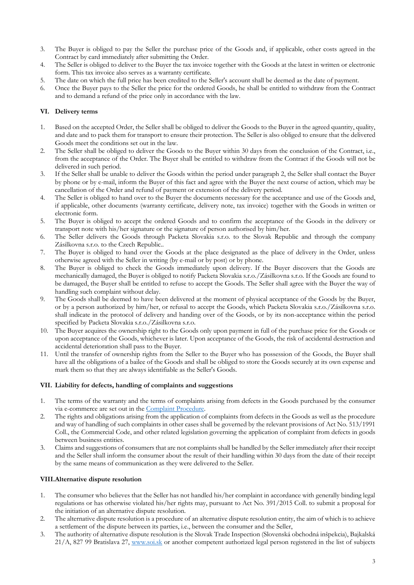- 3. The Buyer is obliged to pay the Seller the purchase price of the Goods and, if applicable, other costs agreed in the Contract by card immediately after submitting the Order.
- 4. The Seller is obliged to deliver to the Buyer the tax invoice together with the Goods at the latest in written or electronic form. This tax invoice also serves as a warranty certificate.
- 5. The date on which the full price has been credited to the Seller's account shall be deemed as the date of payment.
- 6. Once the Buyer pays to the Seller the price for the ordered Goods, he shall be entitled to withdraw from the Contract and to demand a refund of the price only in accordance with the law.

# **VI. Delivery terms**

- 1. Based on the accepted Order, the Seller shall be obliged to deliver the Goods to the Buyer in the agreed quantity, quality, and date and to pack them for transport to ensure their protection. The Seller is also obliged to ensure that the delivered Goods meet the conditions set out in the law.
- 2. The Seller shall be obliged to deliver the Goods to the Buyer within 30 days from the conclusion of the Contract, i.e., from the acceptance of the Order. The Buyer shall be entitled to withdraw from the Contract if the Goods will not be delivered in such period.
- 3. If the Seller shall be unable to deliver the Goods within the period under paragraph 2, the Seller shall contact the Buyer by phone or by e-mail, inform the Buyer of this fact and agree with the Buyer the next course of action, which may be cancellation of the Order and refund of payment or extension of the delivery period.
- 4. The Seller is obliged to hand over to the Buyer the documents necessary for the acceptance and use of the Goods and, if applicable, other documents (warranty certificate, delivery note, tax invoice) together with the Goods in written or electronic form.
- 5. The Buyer is obliged to accept the ordered Goods and to confirm the acceptance of the Goods in the delivery or transport note with his/her signature or the signature of person authorised by him/her.
- 6. The Seller delivers the Goods through Packeta Slovakia s.r.o. to the Slovak Republic and through the company Zásilkovna s.r.o. to the Czech Republic..
- 7. The Buyer is obliged to hand over the Goods at the place designated as the place of delivery in the Order, unless otherwise agreed with the Seller in writing (by e-mail or by post) or by phone.
- 8. The Buyer is obliged to check the Goods immediately upon delivery. If the Buyer discovers that the Goods are mechanically damaged, the Buyer is obliged to notify Packeta Slovakia s.r.o./Zásilkovna s.r.o. If the Goods are found to be damaged, the Buyer shall be entitled to refuse to accept the Goods. The Seller shall agree with the Buyer the way of handling such complaint without delay.
- 9. The Goods shall be deemed to have been delivered at the moment of physical acceptance of the Goods by the Buyer, or by a person authorized by him/her, or refusal to accept the Goods, which Packeta Slovakia s.r.o./Zásilkovna s.r.o. shall indicate in the protocol of delivery and handing over of the Goods, or by its non-acceptance within the period specified by Packeta Slovakia s.r.o./Zásilkovna s.r.o.
- 10. The Buyer acquires the ownership right to the Goods only upon payment in full of the purchase price for the Goods or upon acceptance of the Goods, whichever is later. Upon acceptance of the Goods, the risk of accidental destruction and accidental deterioration shall pass to the Buyer.
- 11. Until the transfer of ownership rights from the Seller to the Buyer who has possession of the Goods, the Buyer shall have all the obligations of a bailee of the Goods and shall be obliged to store the Goods securely at its own expense and mark them so that they are always identifiable as the Seller's Goods.

# **VII. Liability for defects, handling of complaints and suggestions**

- 1. The terms of the warranty and the terms of complaints arising from defects in the Goods purchased by the consumer via e-commerce are set out in the Complaint Procedure.
- 2. The rights and obligations arising from the application of complaints from defects in the Goods as well as the procedure and way of handling of such complaints in other cases shall be governed by the relevant provisions of Act No. 513/1991 Coll., the Commercial Code, and other related legislation governing the application of complaint from defects in goods between business entities.
- 3. Claims and suggestions of consumers that are not complaints shall be handled by the Seller immediately after their receipt and the Seller shall inform the consumer about the result of their handling within 30 days from the date of their receipt by the same means of communication as they were delivered to the Seller.

# **VIII.Alternative dispute resolution**

- 1. The consumer who believes that the Seller has not handled his/her complaint in accordance with generally binding legal regulations or has otherwise violated his/her rights may, pursuant to Act No. 391/2015 Coll. to submit a proposal for the initiation of an alternative dispute resolution.
- 2. The alternative dispute resolution is a procedure of an alternative dispute resolution entity, the aim of which is to achieve a settlement of the dispute between its parties, i.e., between the consumer and the Seller,
- 3. The authority of alternative dispute resolution is the Slovak Trade Inspection (Slovenská obchodná inšpekcia), Bajkalská 21/A, 827 99 Bratislava 27, www.soi.sk or another competent authorized legal person registered in the list of subjects